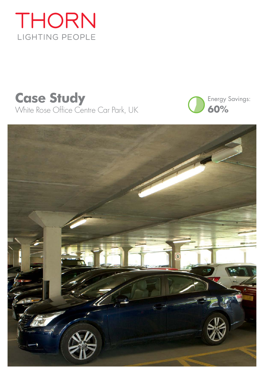

# **Case Study** White Rose Office Centre Car Park, UK



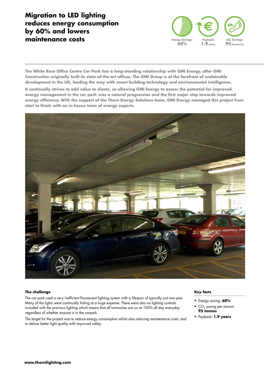# **Migration to LED lighting reduces energy consumption by 60% and lowers maintenance costs**



**The White Rose Office Centre Car Park has a long-standing relationship with GMI Energy, after GMI Construction originally built its state-of-the-art offices. The GMI Group is at the forefront of sustainable development in the UK, leading the way with smart building technology and environmental intelligence.** 

**It continually strives to add value to clients, so allowing GMI Energy to assess the potential for improved energy management in the car park was a natural progression and the first major step towards improved energy efficiency. With the support of the Thorn Energy Solutions team, GMI Energy managed this project from start to finish with an in-house team of energy experts.**



#### **The challenge**

The car park used a very inefficient fluorescent lighting system with a lifespan of typically just one year. Many of the lights were continually failing at a huge expense. There were also no lighting controls included with the previous lighting which means that all luminaires are on at 100% all day everyday regardless of whether anyone is in the carpark.

The target for the project was to reduce energy consumption whilst also reducing maintenance costs, and to deliver better light quality with improved safety.

#### **Key facts**

- Energy saving: **60%**
- CO<sub>2</sub> saving per annum: **95 tonnes**
- Payback: **1.9 years**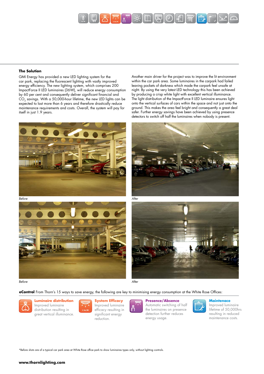

#### **The Solution**

GMI Energy has provided a new LED lighting system for the car park, replacing the fluorescent lighting with vastly improved energy efficiency. The new lighting system, which comprises 200 ImpactForce II LED luminaires (36W), will reduce energy consumption by 60 per cent and consequently deliver significant financial and CO<sub>2</sub> savings. With a 50,000-hour lifetime, the new LED lights can be expected to last more than 6 years and therefore drastically reduce maintenance requirements and costs. Overall, the system will pay for itself in just 1.9 years.

Another main driver for the project was to improve the lit environment within the car park area. Some luminaires in the carpark had failed leaving pockets of darkness which made the carpark feel unsafe at night. By using the very latest LED technology this has been achieved by producing a crisp white light with excellent vertical illuminance. The light distribution of the ImpactForce II LED luminaire ensures light onto the vertical surfaces of cars within the space and not just onto the ground. This makes the area feel bright and consequently a great deal safer. Further energy savings have been achieved by using presence detectors to switch off half the luminaires when nobody is present.





Before



Before

 $\overline{A}$ fter





**eControl** From Thorn's 15 ways to save energy, the following are key to minimising energy consumption at the White Rose Offices:



## **Luminaire distribution**

Improved luminaire distribution resulting in great vertical illuminance.



Improved luminaire efficacy resulting in significant energy reduction.

### **Presence/Absence**

Automatic switching of half the luminaires on presence detection further reduces energy usage.

#### **Maintenace**

Improved luminaire lifetime of 50,000hrs resulting in reduced maintenance costs.

\*Before shots are of a typical car park area at White Rose office park to show luminaires types only, without lighting controls.